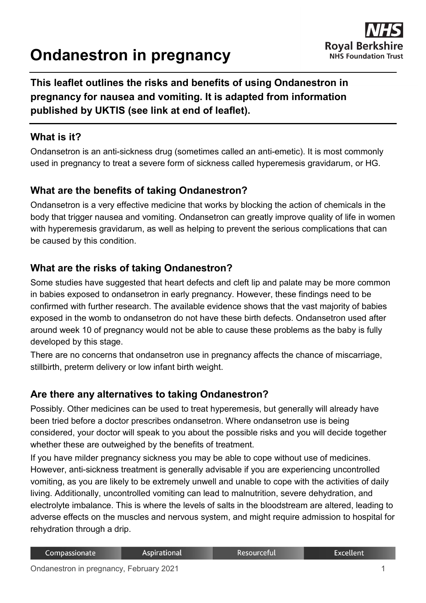# **Ondanestron in pregnancy**



## **This leaflet outlines the risks and benefits of using Ondanestron in pregnancy for nausea and vomiting. It is adapted from information published by UKTIS (see link at end of leaflet).**

#### **What is it?**

Ondansetron is an anti-sickness drug (sometimes called an anti-emetic). It is most commonly used in pregnancy to treat a severe form of sickness called hyperemesis gravidarum, or HG.

#### **What are the benefits of taking Ondanestron?**

Ondansetron is a very effective medicine that works by blocking the action of chemicals in the body that trigger nausea and vomiting. Ondansetron can greatly improve quality of life in women with hyperemesis gravidarum, as well as helping to prevent the serious complications that can be caused by this condition.

#### **What are the risks of taking Ondanestron?**

Some studies have suggested that heart defects and cleft lip and palate may be more common in babies exposed to ondansetron in early pregnancy. However, these findings need to be confirmed with further research. The available evidence shows that the vast majority of babies exposed in the womb to ondansetron do not have these birth defects. Ondansetron used after around week 10 of pregnancy would not be able to cause these problems as the baby is fully developed by this stage.

There are no concerns that ondansetron use in pregnancy affects the chance of miscarriage, stillbirth, preterm delivery or low infant birth weight.

#### **Are there any alternatives to taking Ondanestron?**

Possibly. Other medicines can be used to treat hyperemesis, but generally will already have been tried before a doctor prescribes ondansetron. Where ondansetron use is being considered, your doctor will speak to you about the possible risks and you will decide together whether these are outweighed by the benefits of treatment.

If you have milder pregnancy sickness you may be able to cope without use of medicines. However, anti-sickness treatment is generally advisable if you are experiencing uncontrolled vomiting, as you are likely to be extremely unwell and unable to cope with the activities of daily living. Additionally, uncontrolled vomiting can lead to malnutrition, severe dehydration, and electrolyte imbalance. This is where the levels of salts in the bloodstream are altered, leading to adverse effects on the muscles and nervous system, and might require admission to hospital for rehydration through a drip.